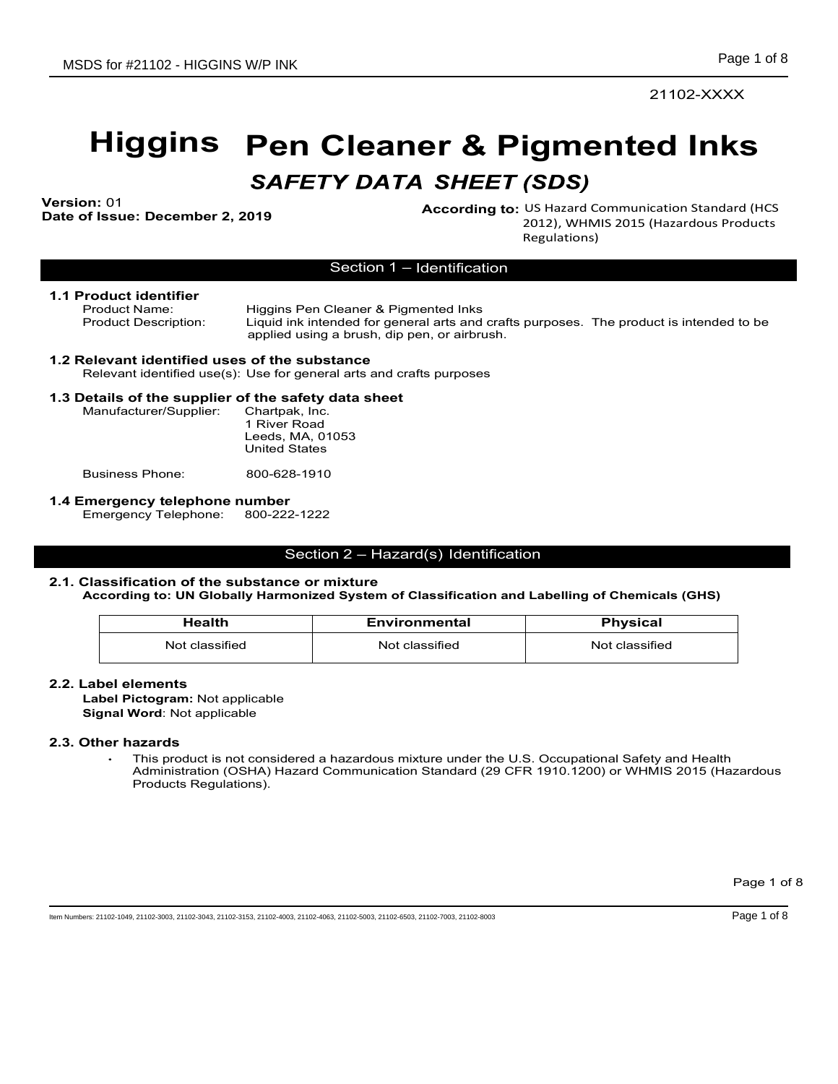# Higgins Pen Cleaner & Pigmented Inks MSDS for #21102 - HIGGINS WP INK<br>
Page 1 of 8<br>
21102-XXXX<br> **Diggins Pen Cleaner & Pigmented Inks**<br>
SAFETY DATA SHEET (SDS)<br>
Nextand Communication Standard (HCS<br>
2012), WHMIS 2015 (Hazardous Products<br>
Regulations)<br>
Section DS for #21102 - HIGGINS W/P INK<br>
21102-<br> **Higgins Pen Cleaner & Pigmented I**<br>
SAFETY DATA SHEET (SDS)<br>
According to: US Hazard Communication S<br>
Product Name:<br>
Product Name:<br>
Product Name:<br>
Product Name:<br>
Product Name:<br>
Pro Product Name:<br>
Product Description: Liguing in the state of general arts and crafts purposes.<br>
Distribution: Distribution: Ligning to the product of the state of the state of the state of the state of the<br>
Product is inten DS for #21102 - HIGGINS W/P INK<br>
21102-><br> **Higgins Pen Cleaner & Pigmented Ir**<br>
SAFETY DATA SHEET (SDS)<br>
Potentified use Correcting to: US Hazard Communication State<br>  $\frac{1}{2012}$ , WHMIS 2015 (Hazardot<br>
Froduct identifier DS for #21102 - HIGGINS W/P INK<br>
21102-XXXX<br>
Miggins Pen Cleaner & Pigmented Inks<br>
SAFETY DATA SHEET (SDS)<br>
According to: US Hazardoo Standard (<br>
According to: US Hazardoo Standard (<br>
According to: US Hazardoo Standard (<br> Page 1 of 8<br>
21102-XXXX<br> **Cleaner & Pigmented Inks**<br> **Y DATA SHEET (SDS)**<br>
According to: US Hazard Communication Standard (HCS<br>
2012), WHMIS 2015 (Hazardous Products<br>
Regulations)<br>
Section 1 – Identification<br>
Cleaner & Pig

Version: 01<br>Date of Issue: December 2, 2019

Page 1 of 8<br>
21102-XXXX<br> **CONCIFICA INKS**<br> **PASS**<br>
US Hazard Communication Standard (HCS<br>
2012), WHMIS 2015 (Hazardous Products<br>
Regulations)<br>
Purposes. The product is intended to be Regulations)

# 1.1 Product identifier

Liquid ink intended for general arts and crafts purposes. The product is intended to be applied using a brush, dip pen, or airbrush. **According to:** US Hazard Communication Standard (HCS<br>
2012), WHMIS 2015 (Hazardous Products<br>
Republicions)<br>
Section 1 – Identification<br>
Section 1 – Identification<br>
Secure 3 Pignemental Ints<br>
In Kintended for general arts

# 1.2 Relevant identified uses of the substance

# 1.3 Details of the supplier of the safety data sheet

| Manufacturer/Supplier: | Chartpak, Inc.<br>1 River Road<br>Leeds, MA, 01053<br><b>United States</b> |
|------------------------|----------------------------------------------------------------------------|
| Business Phone:        | 800-628-1910                                                               |

**1.4 Emergency telephone number<br>Emergency Telephone: 800-222-1222** Emergency Telephone:

# 2.1. Classification of the substance or mixture

# According to: UN Globally Harmonized System of Classification and Labelling of Chemicals (GHS)

| etails of the supplier of the safety data sheet<br>Chartpak, Inc.<br>1 River Road<br>Leeds, MA, 01053<br><b>United States</b><br>800-628-1910<br>800-222-1222<br>Section 2 - Hazard(s) Identification<br><b>Health</b><br><b>Physical</b><br><b>Environmental</b><br>Not classified<br>Not classified<br>Not classified |
|-------------------------------------------------------------------------------------------------------------------------------------------------------------------------------------------------------------------------------------------------------------------------------------------------------------------------|
| Manufacturer/Supplier:<br><b>Business Phone:</b><br>mergency telephone number<br>Emergency Telephone:                                                                                                                                                                                                                   |
|                                                                                                                                                                                                                                                                                                                         |
|                                                                                                                                                                                                                                                                                                                         |
|                                                                                                                                                                                                                                                                                                                         |
|                                                                                                                                                                                                                                                                                                                         |
|                                                                                                                                                                                                                                                                                                                         |
|                                                                                                                                                                                                                                                                                                                         |
| Classification of the substance or mixture<br>According to: UN Globally Harmonized System of Classification and Labelling of Chemicals (GHS)<br>abel elements∟                                                                                                                                                          |
|                                                                                                                                                                                                                                                                                                                         |
|                                                                                                                                                                                                                                                                                                                         |
|                                                                                                                                                                                                                                                                                                                         |
|                                                                                                                                                                                                                                                                                                                         |
| Label Pictogram: Not applicable<br>Signal Word: Not applicable<br><b>Other hazards</b><br>This product is not considered a hazardous mixture under the U.S. Occupational Safety and Health<br>Administration (OSHA) Hazard Communication Standard (29 CFR 1910.1200) or WHMIS 2015 (Hazardous<br>Products Regulations). |

# 2.2. Label elements

# 2.3. Other hazards

Page 1 of 8<br>Page 1 of 8<br>Page 1 of 8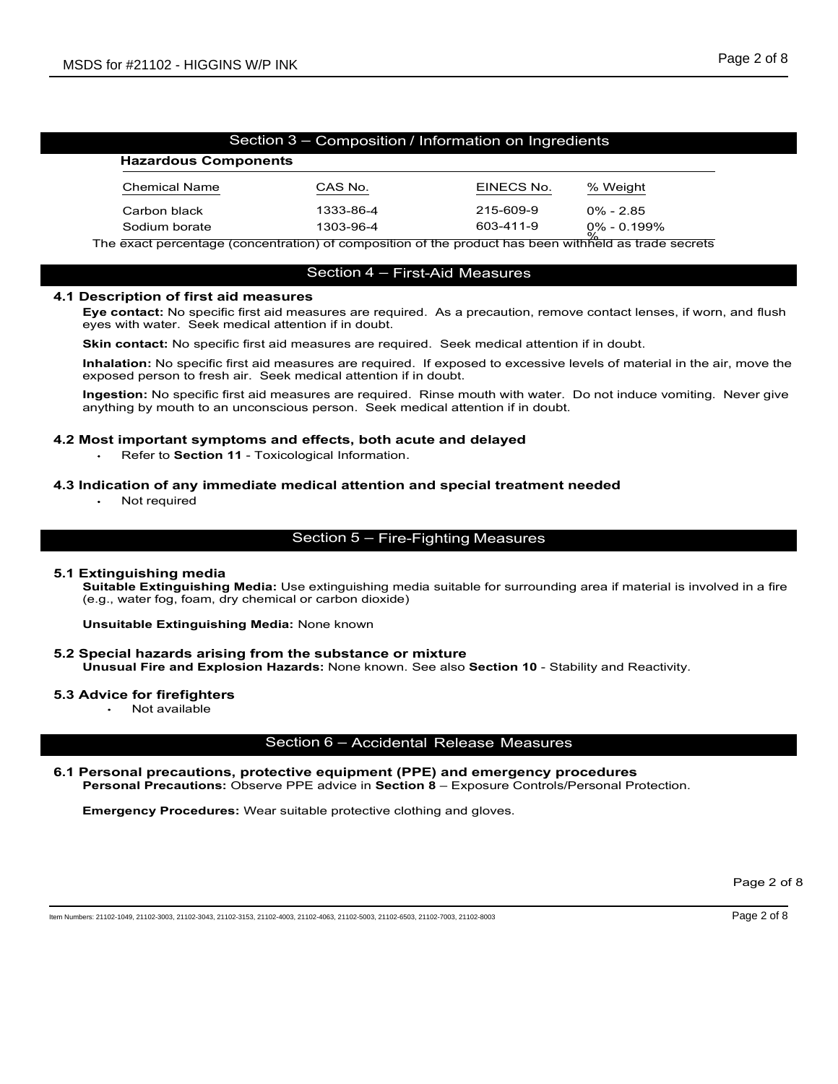| MSDS for #21102 - HIGGINS W/P INK                                                                                                                                                                                     |                                                      |            |              | Page 2 of 8 |
|-----------------------------------------------------------------------------------------------------------------------------------------------------------------------------------------------------------------------|------------------------------------------------------|------------|--------------|-------------|
|                                                                                                                                                                                                                       |                                                      |            |              |             |
|                                                                                                                                                                                                                       |                                                      |            |              |             |
|                                                                                                                                                                                                                       | Section 3 - Composition / Information on Ingredients |            |              |             |
| <b>Hazardous Components</b>                                                                                                                                                                                           |                                                      |            |              |             |
| <b>Chemical Name</b>                                                                                                                                                                                                  | CAS No.                                              | EINECS No. | % Weight     |             |
| Carbon black                                                                                                                                                                                                          | 1333-86-4                                            | 215-609-9  | $0\% - 2.85$ |             |
| Sodium borate                                                                                                                                                                                                         | 1303-96-4                                            | 603-411-9  | 0% - 0.199%  |             |
| The exact percentage (concentration) of composition of the product has been withheld as trade secrets                                                                                                                 |                                                      |            |              |             |
|                                                                                                                                                                                                                       | Section 4 - First-Aid Measures                       |            |              |             |
| 4.1 Description of first aid measures<br>Eye contact: No specific first aid measures are required. As a precaution, remove contact lenses, if worn, and flush<br>eyes with water. Seek medical attention if in doubt. |                                                      |            |              |             |
| <b>Skin contact:</b> No specific first aid measures are required. Seek medical attention if in doubt.                                                                                                                 |                                                      |            |              |             |
| Inhalation: No specific first aid measures are required. If exposed to excessive levels of material in the air, move the<br>exposed person to fresh air. Seek medical attention if in doubt.                          |                                                      |            |              |             |
| Ingestion: No specific first aid measures are required. Rinse mouth with water. Do not induce vomiting. Never give<br>anything by mouth to an unconscious person. Seek medical attention if in doubt.                 |                                                      |            |              |             |
| 4.2 Most important symptoms and effects, both acute and delayed<br>Refer to Section 11 - Toxicological Information.                                                                                                   |                                                      |            |              |             |
| 4.3 Indication of any immediate medical attention and special treatment needed<br>Not required                                                                                                                        |                                                      |            |              |             |
|                                                                                                                                                                                                                       | Section 5 - Fire-Fighting Measures                   |            |              |             |
| 5.1 Extinguishing media<br>Suitable Extinguishing Media: Use extinguishing media suitable for surrounding area if material is involved in a fire<br>(e.g., water fog, foam, dry chemical or carbon dioxide)           |                                                      |            |              |             |
| <b>Unsuitable Extinguishing Media: None known</b>                                                                                                                                                                     |                                                      |            |              |             |

The exact percentage (concentration) of composition of the product has been withhe<br>
Section 4 – First-Aid Measures<br>
Description of first aid measures are required. As a precaution, remove co<br>
eyes with water. Seek medical Section 4 - First-Alid Measures<br>
Eye contact: No specific first aid measures are required. As a precaution, remove contact lenses, if<br>
yey contact: No specific first aid measures are required. Seek medical attention if in

Sudion of the product has been withheld as trackets<br>
Subsequent in the subsequent of the product has been withheld as trade secrets<br>
Secription of first aid measures<br>
Eye contact: No specific first aid measures are require Eye contact: No specific first aid measures are required. As a precaution, remove contact lenses, if wom, and flush<br>Skin contact: No specific first aid measures are required. Seek medical attention if in doubt.<br>
Skin conta measures are required. Rinse mouth with water. Do not induce vomiting. Never give<br>
accious person. Seek medical attention if in doubt.<br>
2 and effects, both acute and delayed<br>
xixicological Information.<br>
te medical attentio

d in a fire<br>Page 2 of 8<br>Page 2 of 8 5.1 Extinguishing media<br>Suitable Extinguishing Media: Use extinguishing media suitable for surrounding area if material is involved in a fire 4.2 Most important symptoms and offects, both acute and delayed<br>
Refer to Section 11 - Toxicological information.<br>
4.3 Indication of any immediate medical attention and special treatment needed<br>
Not required<br>
Section 5 – F Most important symptoms and effects, both acute and delayed<br>
Personal Precomposition<br>
Personal Precautions: Observe PPE advice in Section 8 – Fire-Fighting Measures<br>
Extinguishing media<br>
Section 8 – Fire-Fighting Measures<br>

# 5.2 Special hazards arising from the substance or mixture

# 5.3 Advice for firefighters

Not available

Emergency Procedures: Wear suitable protective clothing and gloves.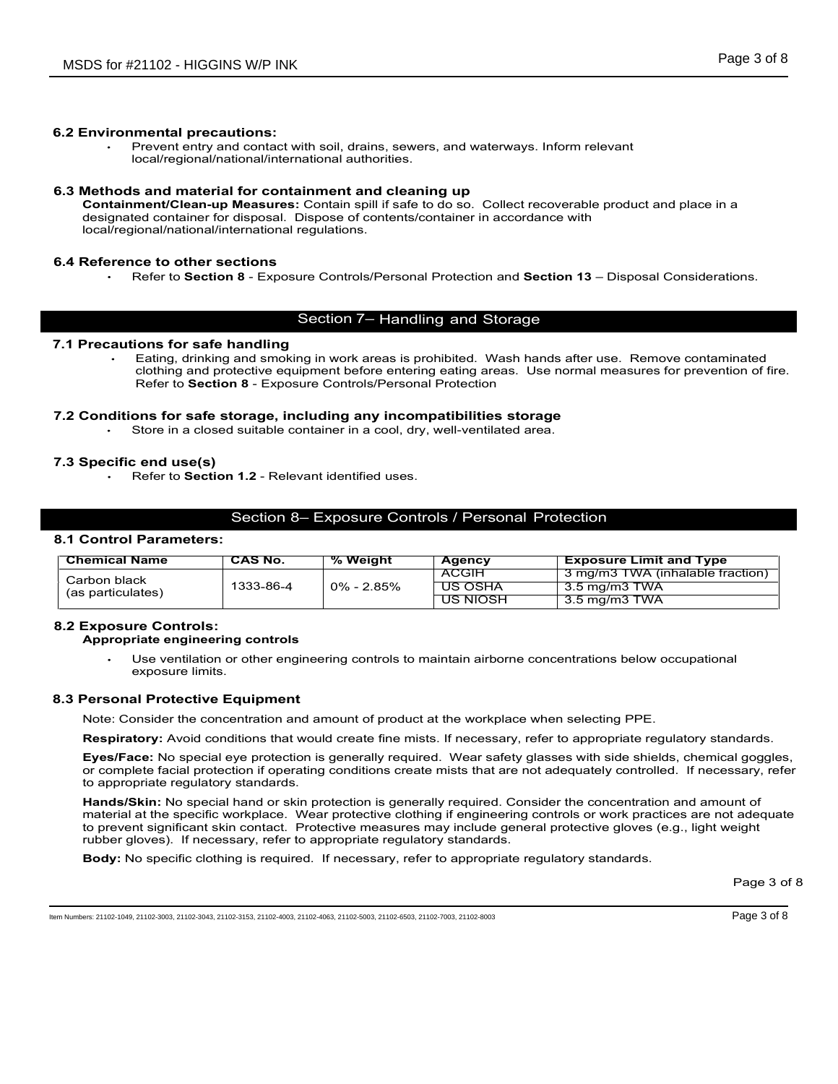# 6.2 Environmental precautions:

# 6.3 Methods and material for containment and cleaning up

Prevent entry and contact with soil, drains, sewers, and waterways. Inform relevant<br>Prevent entry and contact with soil, drains, sewers, and waterways. Inform relevant<br>local/regional/national/international authorities.<br>**s** 21102 - HIGGINS W/P INK<br>
Page 3 of 8<br>
Prevent entry and contact with soil, drains, sewers, and waterways. Inform relevant<br>
Iocal/regional/national/international authorities.<br> **s and material for containment and cleaning up** Containmental precautions:<br>
Container and contact with soil, drains, sewers, and waterways. Inform relevant<br>
Containment entry and contact with soil, drains, sewers, and waterways. Inform relevant<br>
Methods and material for Containment/Clean-up Measures: Contain spill if safe to do so. Collect recoverable product and place in a designated container for disposal. Dispose of contents/container in accordance with local/regional/national/international regulations. Page 3 of 8<br>
Prevent entry and contact with soil, drains, sewers, and waterways. Inform relevant<br>
Frevent entry and contact with soil, drains, sewers, and waterways. Inform relevant<br>
stand material for containment and Clea

# 6.4 Reference to other sections

# 7.1 Precautions for safe handling

Page 3 of 8<br>
The montal procesutions:<br>
The metal procesutions:<br>
The metal of the contamination and smoking in work areas is and waterways. Inform relevant<br>
Celeviragional/mational/international authorities.<br> **Eartim and sm** clothing and protective equipment before entering eating areas. Use normal measures for prevention of fire.<br>Refer to Section 8 - Exposure Controls/Personal Protection Page 3 c<br>
Referred Interactions:<br>
Provent entry and contract with soil, drains, sewers, and waterways. Inform relevant<br>
Referred interpret controls and material for contrating and introduce<br>
and material for controlsing an MSDS for #21102 - HIGGINS W/P INK<br>
Frage 3 of 8<br>
2.2 Environmental precautions:<br>
Frageties and material for containment incompatibilities incompatibles.<br>
5.3 Methods and material for containment and cleaning up<br>
Containmen **Example 12**<br>
Store in a contact with soil, drains, sewers, and waterways. Inform relevant<br>
Decayting in a close of the containment and close the figure of the container of the container in a container in a container in a Internal precautions:<br>
Prevent entry and contact with soil, drains, sewers, and waterways. Inform relevant<br>
Diocalize gional material for containment and cleaning up<br>
memorives and material for containment and cleaning up<br> Page 3 of 8<br>Page 3 of 8<br>International authorities.<br>Antana authorities.<br>Antana authorities.<br>Contain spill if safe to do so. Collect recoverable product and place in a<br>Constant spill if safe to do so. Collect recoverable pro

# 7.3 Specific end use(s)

# 8.1 Control Parameters:

|                                                                                                                                    | local/regional/hational/international authorities.         |                |                                                                                                         |                                                                                                                                                                                                                                                                                                                                                                 |
|------------------------------------------------------------------------------------------------------------------------------------|------------------------------------------------------------|----------------|---------------------------------------------------------------------------------------------------------|-----------------------------------------------------------------------------------------------------------------------------------------------------------------------------------------------------------------------------------------------------------------------------------------------------------------------------------------------------------------|
| 6.3 Methods and material for containment and cleaning up<br>local/regional/national/international regulations.                     |                                                            |                | designated container for disposal. Dispose of contents/container in accordance with                     | Containment/Clean-up Measures: Contain spill if safe to do so. Collect recoverable product and place in a                                                                                                                                                                                                                                                       |
| 6.4 Reference to other sections                                                                                                    |                                                            |                |                                                                                                         | Refer to Section 8 - Exposure Controls/Personal Protection and Section 13 - Disposal Considerations.                                                                                                                                                                                                                                                            |
|                                                                                                                                    |                                                            |                | Section 7- Handling and Storage                                                                         |                                                                                                                                                                                                                                                                                                                                                                 |
| 7.1 Precautions for safe handling                                                                                                  | Refer to Section 8 - Exposure Controls/Personal Protection |                |                                                                                                         | Eating, drinking and smoking in work areas is prohibited. Wash hands after use. Remove contaminated<br>clothing and protective equipment before entering eating areas. Use normal measures for prevention of fire.                                                                                                                                              |
| 7.2 Conditions for safe storage, including any incompatibilities storage                                                           |                                                            |                | Store in a closed suitable container in a cool, dry, well-ventilated area.                              |                                                                                                                                                                                                                                                                                                                                                                 |
| 7.3 Specific end use(s)                                                                                                            | Refer to Section 1.2 - Relevant identified uses.           |                |                                                                                                         |                                                                                                                                                                                                                                                                                                                                                                 |
|                                                                                                                                    |                                                            |                | Section 8- Exposure Controls / Personal Protection                                                      |                                                                                                                                                                                                                                                                                                                                                                 |
| 8.1 Control Parameters:                                                                                                            |                                                            |                |                                                                                                         |                                                                                                                                                                                                                                                                                                                                                                 |
| <b>Chemical Name</b>                                                                                                               | <b>CAS No.</b>                                             | % Weight       | <b>Agency</b>                                                                                           | <b>Exposure Limit and Type</b>                                                                                                                                                                                                                                                                                                                                  |
| Carbon black<br>(as particulates)                                                                                                  | 1333-86-4                                                  | $0\% - 2.85\%$ | <b>ACGIH</b><br><b>US OSHA</b><br><u>US NIOSH</u>                                                       | 3 mg/m3 TWA (inhalable fraction)<br>$3.5 \,\mathrm{mg/m}$ TWA<br>$3.5$ mg/m $3$ TWA                                                                                                                                                                                                                                                                             |
|                                                                                                                                    |                                                            |                |                                                                                                         |                                                                                                                                                                                                                                                                                                                                                                 |
| <b>8.2 Exposure Controls:</b><br>Appropriate engineering controls                                                                  |                                                            |                |                                                                                                         |                                                                                                                                                                                                                                                                                                                                                                 |
| exposure limits.                                                                                                                   |                                                            |                |                                                                                                         | Use ventilation or other engineering controls to maintain airborne concentrations below occupational                                                                                                                                                                                                                                                            |
| 8.3 Personal Protective Equipment                                                                                                  |                                                            |                |                                                                                                         |                                                                                                                                                                                                                                                                                                                                                                 |
|                                                                                                                                    |                                                            |                | Note: Consider the concentration and amount of product at the workplace when selecting PPE.             |                                                                                                                                                                                                                                                                                                                                                                 |
|                                                                                                                                    |                                                            |                |                                                                                                         | Respiratory: Avoid conditions that would create fine mists. If necessary, refer to appropriate regulatory standards.                                                                                                                                                                                                                                            |
| to appropriate regulatory standards.                                                                                               |                                                            |                |                                                                                                         | Eyes/Face: No special eye protection is generally required. Wear safety glasses with side shields, chemical goggles,<br>or complete facial protection if operating conditions create mists that are not adequately controlled. If necessary, refer                                                                                                              |
|                                                                                                                                    |                                                            |                |                                                                                                         | Hands/Skin: No special hand or skin protection is generally required. Consider the concentration and amount of<br>material at the specific workplace. Wear protective clothing if engineering controls or work practices are not adequate<br>to prevent significant skin contact. Protective measures may include general protective gloves (e.g., light weight |
| rubber gloves). If necessary, refer to appropriate regulatory standards.                                                           |                                                            |                |                                                                                                         |                                                                                                                                                                                                                                                                                                                                                                 |
|                                                                                                                                    |                                                            |                | <b>Body:</b> No specific clothing is required. If necessary, refer to appropriate regulatory standards. |                                                                                                                                                                                                                                                                                                                                                                 |
|                                                                                                                                    |                                                            |                |                                                                                                         | Page 3 of 8                                                                                                                                                                                                                                                                                                                                                     |
| em Numbers: 21102-1049, 21102-3003, 21102-3043, 21102-3153, 21102-4003, 21102-4063, 21102-5003, 21102-6503, 21102-7003, 21102-8003 |                                                            |                |                                                                                                         | Page 3 of 8                                                                                                                                                                                                                                                                                                                                                     |

# 8.2 Exposure Controls:

# Appropriate engineering controls

Transfer Controllering Controllering Search<br>
The School of School School School School School School School School School School School School School School School School School School School School School School School Sc material at the specific workplace. Wear protective clothing if engineering controls or work practices are not adequate<br>to prevent significant skin contact. Protective measures may include general protective gloves (e.g.,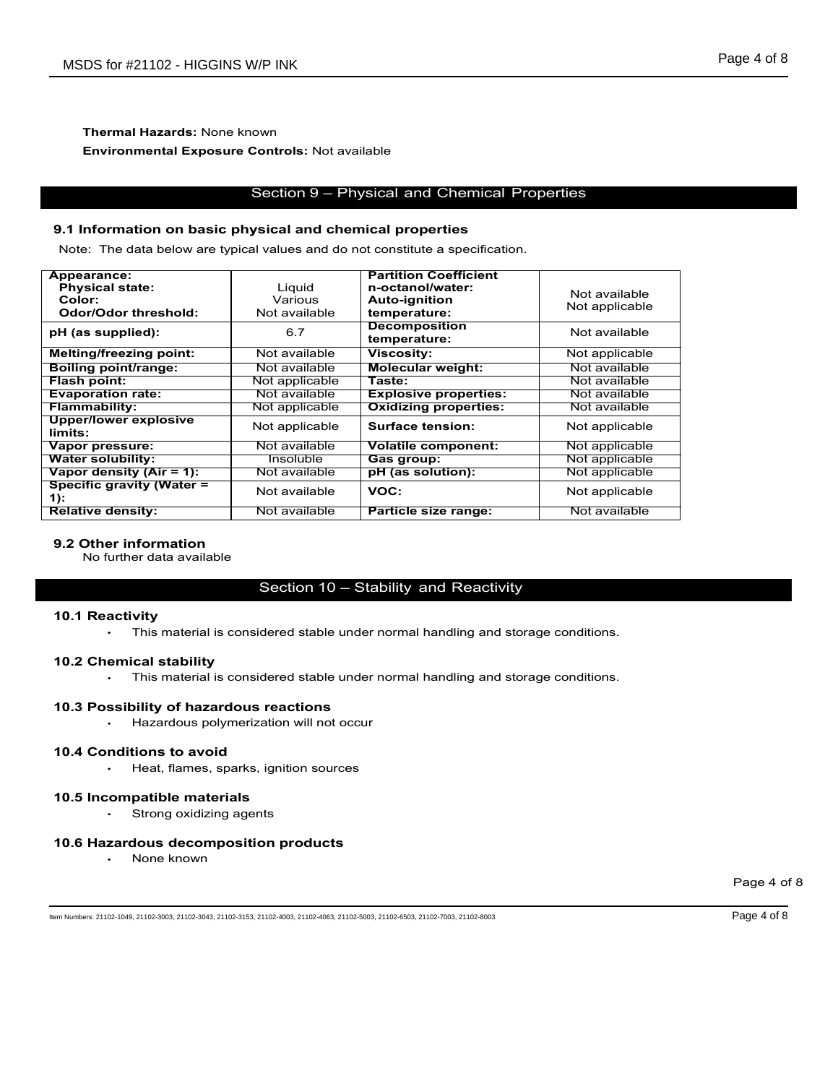# Thermal Hazards: None known Environmental Exposure Controls: Not available

# 9.1 Information on basic physical and chemical properties

| MSDS for #21102 - HIGGINS W/P INK                            |                                         |                                                                                  |                                  | Page 4 of 8 |
|--------------------------------------------------------------|-----------------------------------------|----------------------------------------------------------------------------------|----------------------------------|-------------|
|                                                              |                                         |                                                                                  |                                  |             |
|                                                              |                                         |                                                                                  |                                  |             |
| <b>Thermal Hazards: None known</b>                           |                                         |                                                                                  |                                  |             |
| <b>Environmental Exposure Controls: Not available</b>        |                                         |                                                                                  |                                  |             |
|                                                              |                                         |                                                                                  |                                  |             |
|                                                              |                                         | Section 9 - Physical and Chemical Properties                                     |                                  |             |
|                                                              |                                         |                                                                                  |                                  |             |
| 9.1 Information on basic physical and chemical properties    |                                         |                                                                                  |                                  |             |
|                                                              |                                         | Note: The data below are typical values and do not constitute a specification.   |                                  |             |
| Appearance:                                                  |                                         | <b>Partition Coefficient</b>                                                     |                                  |             |
| <b>Physical state:</b><br>Color:                             | Liquid<br>Various                       | n-octanol/water:<br><b>Auto-ignition</b>                                         | Not available                    |             |
| <b>Odor/Odor threshold:</b>                                  | Not available                           | temperature:                                                                     | Not applicable                   |             |
| pH (as supplied):                                            | 6.7                                     | <b>Decomposition</b><br>temperature:                                             | Not available                    |             |
| <b>Melting/freezing point:</b>                               | Not available                           | <b>Viscosity:</b>                                                                | Not applicable                   |             |
| <b>Boiling point/range:</b><br><b>Flash point:</b>           | Not available<br>Not applicable         | <b>Molecular weight:</b><br>Taste:                                               | Not available<br>Not available   |             |
| <b>Evaporation rate:</b>                                     | Not available                           | <b>Explosive properties:</b>                                                     | Not available                    |             |
| <b>Flammability:</b><br><b>Upper/lower explosive</b>         | Not applicable                          | <b>Oxidizing properties:</b>                                                     | Not available                    |             |
| limits:                                                      | Not applicable<br>Not available         | <b>Surface tension:</b><br><b>Volatile component:</b>                            | Not applicable                   |             |
| Vapor pressure:<br><b>Water solubility:</b>                  | <b>Insoluble</b>                        | Gas group:                                                                       | Not applicable<br>Not applicable |             |
| Vapor density (Air = 1):<br><b>Specific gravity (Water =</b> | Not available                           | pH (as solution):                                                                | Not applicable                   |             |
| 1):                                                          | Not available                           | VOC:                                                                             | Not applicable                   |             |
| <b>Relative density:</b>                                     | Not available                           | Particle size range:                                                             | Not available                    |             |
| 9.2 Other information<br>No further data available           |                                         |                                                                                  |                                  |             |
|                                                              |                                         | Section 10 - Stability and Reactivity                                            |                                  |             |
|                                                              |                                         |                                                                                  |                                  |             |
| 10.1 Reactivity                                              |                                         | This material is considered stable under normal handling and storage conditions. |                                  |             |
|                                                              |                                         |                                                                                  |                                  |             |
| 10.2 Chemical stability<br>$\bullet$ .                       |                                         | This material is considered stable under normal handling and storage conditions. |                                  |             |
|                                                              |                                         |                                                                                  |                                  |             |
| 10.3 Possibility of hazardous reactions                      | Hazardous polymerization will not occur |                                                                                  |                                  |             |
|                                                              |                                         |                                                                                  |                                  |             |
| 10.4 Conditions to avoid                                     | Heat, flames, sparks, ignition sources  |                                                                                  |                                  |             |
| 10.5 Incompatible materials                                  |                                         |                                                                                  |                                  |             |
| Strong oxidizing agents                                      |                                         |                                                                                  |                                  |             |
| 10.6 Hazardous decomposition products                        |                                         |                                                                                  |                                  |             |
| None known                                                   |                                         |                                                                                  |                                  |             |
|                                                              |                                         |                                                                                  |                                  | Page 4 of 8 |
|                                                              |                                         |                                                                                  |                                  |             |

# **9.2 Other information**<br>No further data available

# 10.1 Reactivity

# 10.2 Chemical stability

# 10.3 Possibility of hazardous reactions

# 10.4 Conditions to avoid

# 10.5 Incompatible materials

# 10.6 Hazardous decomposition products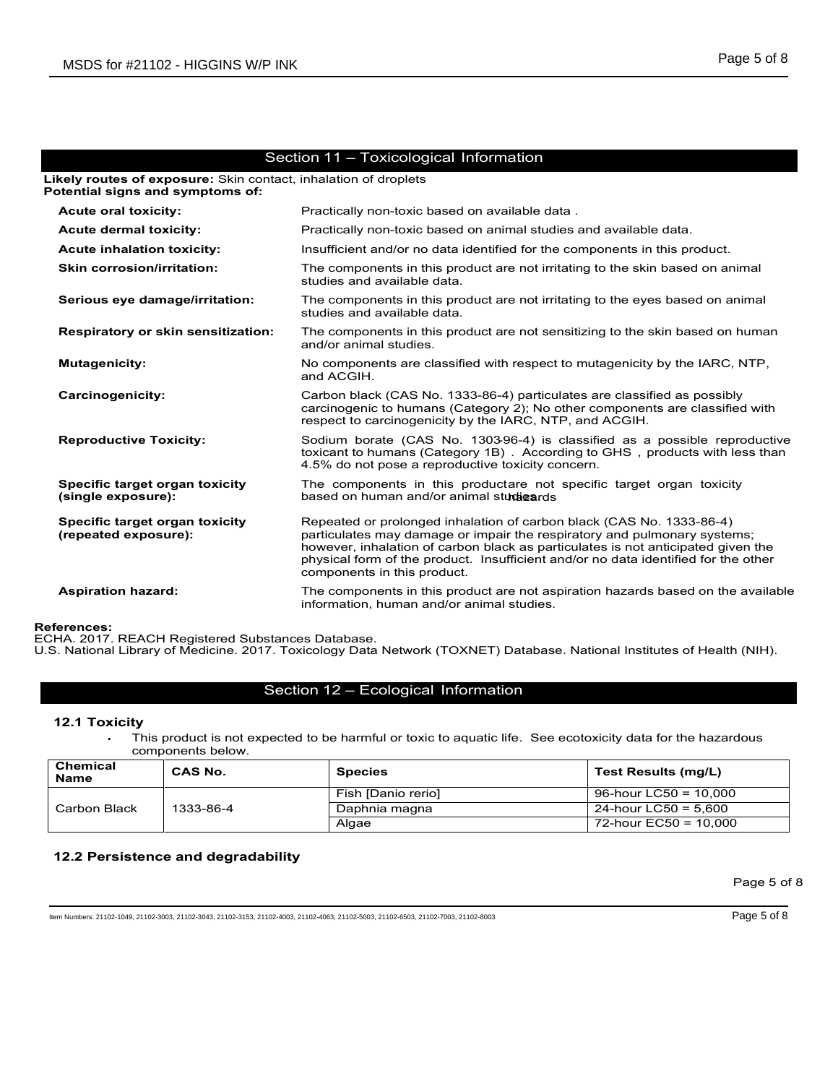|                                                                        | MSDS for #21102 - HIGGINS W/P INK                 |                                                                                                           | Page 5 of 8                                                                                                                                                                                                                                                                                                                |
|------------------------------------------------------------------------|---------------------------------------------------|-----------------------------------------------------------------------------------------------------------|----------------------------------------------------------------------------------------------------------------------------------------------------------------------------------------------------------------------------------------------------------------------------------------------------------------------------|
|                                                                        |                                                   |                                                                                                           |                                                                                                                                                                                                                                                                                                                            |
|                                                                        |                                                   |                                                                                                           |                                                                                                                                                                                                                                                                                                                            |
|                                                                        |                                                   |                                                                                                           |                                                                                                                                                                                                                                                                                                                            |
|                                                                        |                                                   | Section 11 - Toxicological Information<br>Likely routes of exposure: Skin contact, inhalation of droplets |                                                                                                                                                                                                                                                                                                                            |
|                                                                        | Potential signs and symptoms of:                  |                                                                                                           |                                                                                                                                                                                                                                                                                                                            |
| <b>Acute oral toxicity:</b>                                            |                                                   | Practically non-toxic based on available data.                                                            |                                                                                                                                                                                                                                                                                                                            |
| <b>Acute dermal toxicity:</b>                                          |                                                   | Practically non-toxic based on animal studies and available data.                                         |                                                                                                                                                                                                                                                                                                                            |
| <b>Acute inhalation toxicity:</b><br><b>Skin corrosion/irritation:</b> |                                                   |                                                                                                           | Insufficient and/or no data identified for the components in this product.<br>The components in this product are not irritating to the skin based on animal                                                                                                                                                                |
|                                                                        | Serious eye damage/irritation:                    | studies and available data.                                                                               | The components in this product are not irritating to the eyes based on animal                                                                                                                                                                                                                                              |
|                                                                        |                                                   | studies and available data.                                                                               |                                                                                                                                                                                                                                                                                                                            |
|                                                                        | Respiratory or skin sensitization:                | and/or animal studies.                                                                                    | The components in this product are not sensitizing to the skin based on human                                                                                                                                                                                                                                              |
| <b>Mutagenicity:</b>                                                   |                                                   | and ACGIH.                                                                                                | No components are classified with respect to mutagenicity by the IARC, NTP,                                                                                                                                                                                                                                                |
| <b>Carcinogenicity:</b>                                                |                                                   | respect to carcinogenicity by the IARC, NTP, and ACGIH.                                                   | Carbon black (CAS No. 1333-86-4) particulates are classified as possibly<br>carcinogenic to humans (Category 2); No other components are classified with                                                                                                                                                                   |
| <b>Reproductive Toxicity:</b>                                          |                                                   | 4.5% do not pose a reproductive toxicity concern.                                                         | Sodium borate (CAS No. 1303-96-4) is classified as a possible reproductive<br>toxicant to humans (Category 1B) . According to GHS, products with less than                                                                                                                                                                 |
| Specific target organ toxicity<br>(single exposure):                   |                                                   | based on human and/or animal studigards                                                                   | The components in this productare not specific target organ toxicity                                                                                                                                                                                                                                                       |
| Specific target organ toxicity<br>(repeated exposure):                 |                                                   |                                                                                                           | Repeated or prolonged inhalation of carbon black (CAS No. 1333-86-4)<br>particulates may damage or impair the respiratory and pulmonary systems;<br>however, inhalation of carbon black as particulates is not anticipated given the<br>physical form of the product. Insufficient and/or no data identified for the other |
| <b>Aspiration hazard:</b>                                              |                                                   | components in this product.<br>information, human and/or animal studies.                                  | The components in this product are not aspiration hazards based on the available                                                                                                                                                                                                                                           |
| <b>References:</b>                                                     |                                                   |                                                                                                           |                                                                                                                                                                                                                                                                                                                            |
|                                                                        | ECHA. 2017. REACH Registered Substances Database. |                                                                                                           | U.S. National Library of Medicine. 2017. Toxicology Data Network (TOXNET) Database. National Institutes of Health (NIH).                                                                                                                                                                                                   |
|                                                                        |                                                   |                                                                                                           |                                                                                                                                                                                                                                                                                                                            |
|                                                                        |                                                   | Section 12 - Ecological Information                                                                       |                                                                                                                                                                                                                                                                                                                            |
| 12.1 Toxicity<br>$\bullet$                                             |                                                   |                                                                                                           | This product is not expected to be harmful or toxic to aquatic life. See ecotoxicity data for the hazardous                                                                                                                                                                                                                |
| <b>Chemical</b>                                                        | components below.<br><b>CAS No.</b>               | <b>Species</b>                                                                                            | <b>Test Results (mg/L)</b>                                                                                                                                                                                                                                                                                                 |
| Name                                                                   |                                                   | Fish [Danio rerio]                                                                                        | 96-hour LC50 = $10,000$                                                                                                                                                                                                                                                                                                    |
| Carbon Black                                                           | 1333-86-4                                         | Daphnia magna                                                                                             | 24-hour LC50 = $5,600$<br>$72$ -hour EC50 = 10,000                                                                                                                                                                                                                                                                         |
|                                                                        |                                                   | Algae                                                                                                     |                                                                                                                                                                                                                                                                                                                            |
|                                                                        | 12.2 Persistence and degradability                |                                                                                                           |                                                                                                                                                                                                                                                                                                                            |
|                                                                        |                                                   |                                                                                                           | Page 5 of 8                                                                                                                                                                                                                                                                                                                |
|                                                                        |                                                   |                                                                                                           |                                                                                                                                                                                                                                                                                                                            |

# 12.1 Toxicity

| Chemical<br><b>Name</b> | <b>CAS No.</b> | <b>Species</b>     | Test Results (mg/L)     |
|-------------------------|----------------|--------------------|-------------------------|
|                         |                | Fish [Danio rerio] | 96-hour LC50 = $10.000$ |
| Carbon Black            | 1333-86-4      | Daphnia magna      | 24-hour LC50 = 5,600    |
|                         |                | Algae              | 72-hour EC50 = 10.000   |

# 12.2 Persistence and degradability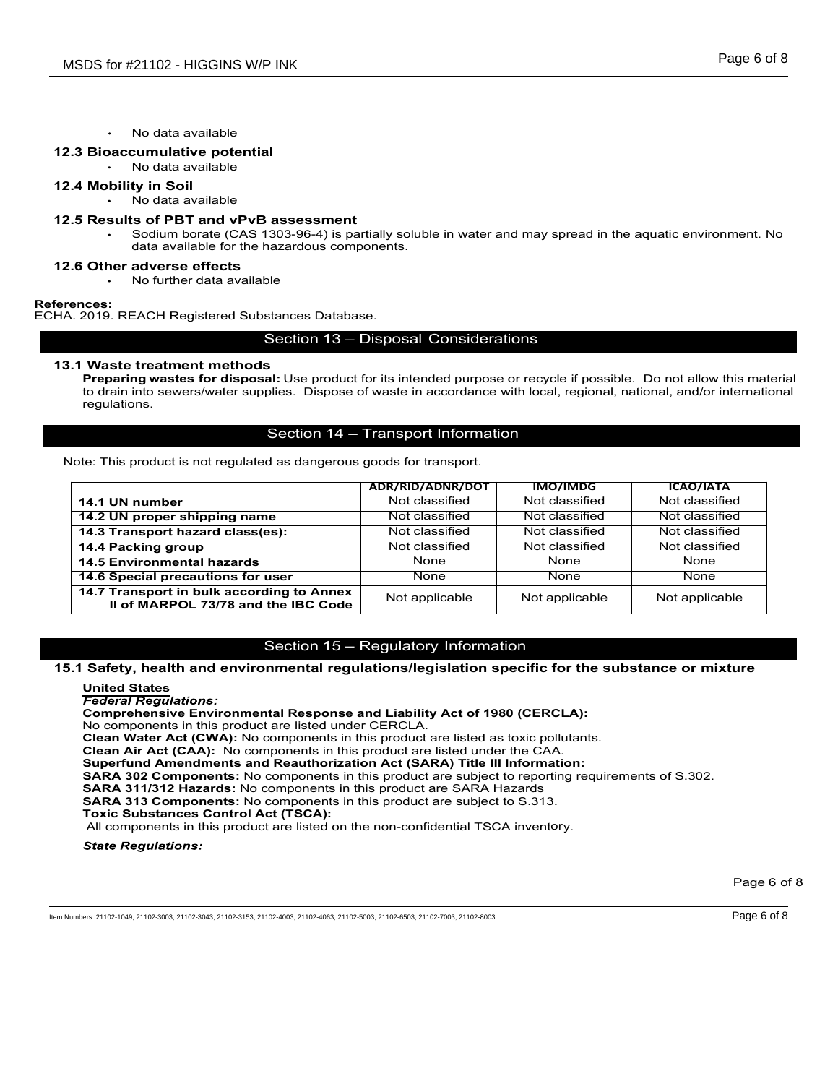# 12.3 Bioaccumulative potential

# 12.4 Mobility in Soil

# 12.5 Results of PBT and vPvB assessment

21102 - HIGGINS W/P INK<br>No data available<br>cu**mulative potential**<br>No data available<br>Sodium borate (CAS 1303-96-4) is partially soluble in water and may spread in the<br>Sodium borate (CAS 1303-96-4) is partially soluble in wat 21102 - HIGGINS W/P INK<br>No data available<br>translative potential<br>No data available<br>No data available<br>No data available<br>so of PBT and vPvB assessment<br>Sodium borate (CAS 1303-96-4) is partially soluble in water and may spread Source (Solid and available<br>
Solid and available<br>
Sodiata available<br>
Sodium borate (CAS 1303-96-4) is partially soluble in water and may spread in the aquatic environment. No<br>
Sodium borate (CAS 1303-96-4) is partially sol 21102 - HIGGINS W/P INK<br>No data available<br>cumulative potential<br>No data available<br>**y** in Soil<br>so data available<br>so of PBT and VPvB assessment<br>Sodium borate (CAS 1303-96-4) is partially soluble in water and may spread in the 21102 - HIGGINS W/P INK<br>No data available<br>ty in Soil<br>No data available<br>No data available<br>Softim borate (CAS 1303-96-4) is partially soluble in water and may spread in the aquation<br>Softim borate (CAS 1303-96-4) is partially

# 12.6 Other adverse effects

# References:

ECHA. 2019. REACH Registered Substances Database.

13.1 Waste treatment methods<br>Preparing wastes for disposal: Use product for its intended purpose or recycle if possible. Do not allow this material Preparing Wastern and a was a statistic or the disposal: Nobility in Solida available<br>
Preparent Words and available<br>
The disposalism of PBT and vPvB assessment<br>
The disposalism better (CAS 1303-96-4) is partially soluble to drain into several water into the based of a<br>
Since the data available<br> **Bioccommulative potential**<br> **Notify** in Soil<br>
Modia available<br> **Results of PBT and VPVB assessment**<br>
that available for the hazardous components.<br> to drain into sewers/water supplies. Dispose of waste in accordance with local, regional, national, and/or international regulations. PINK<br>
Section 13<br>
Section 13 – Disposal Considerations<br>
Section 13 – Disposal Considerations<br>
Section 13 – Disposal Considerations<br>
Section 13 – Disposal Considerations<br>
Section 13 – Disposal Considerations<br>
Section 13 – D

| No data available                                                                                                                                                                                                                                                                                                                                                                                                                                                                                                                                                                                                                                                                                                                                                                                                                                                                                                    |                                      |                 |                  |             |
|----------------------------------------------------------------------------------------------------------------------------------------------------------------------------------------------------------------------------------------------------------------------------------------------------------------------------------------------------------------------------------------------------------------------------------------------------------------------------------------------------------------------------------------------------------------------------------------------------------------------------------------------------------------------------------------------------------------------------------------------------------------------------------------------------------------------------------------------------------------------------------------------------------------------|--------------------------------------|-----------------|------------------|-------------|
| 12.3 Bioaccumulative potential<br>No data available                                                                                                                                                                                                                                                                                                                                                                                                                                                                                                                                                                                                                                                                                                                                                                                                                                                                  |                                      |                 |                  |             |
| 12.4 Mobility in Soil<br>• No data available                                                                                                                                                                                                                                                                                                                                                                                                                                                                                                                                                                                                                                                                                                                                                                                                                                                                         |                                      |                 |                  |             |
| 12.5 Results of PBT and vPvB assessment<br>Sodium borate (CAS 1303-96-4) is partially soluble in water and may spread in the aquatic environment. No<br>$\bullet$<br>data available for the hazardous components.                                                                                                                                                                                                                                                                                                                                                                                                                                                                                                                                                                                                                                                                                                    |                                      |                 |                  |             |
| 12.6 Other adverse effects<br>No further data available                                                                                                                                                                                                                                                                                                                                                                                                                                                                                                                                                                                                                                                                                                                                                                                                                                                              |                                      |                 |                  |             |
| ferences:                                                                                                                                                                                                                                                                                                                                                                                                                                                                                                                                                                                                                                                                                                                                                                                                                                                                                                            |                                      |                 |                  |             |
| HA. 2019. REACH Registered Substances Database.                                                                                                                                                                                                                                                                                                                                                                                                                                                                                                                                                                                                                                                                                                                                                                                                                                                                      |                                      |                 |                  |             |
|                                                                                                                                                                                                                                                                                                                                                                                                                                                                                                                                                                                                                                                                                                                                                                                                                                                                                                                      | Section 13 - Disposal Considerations |                 |                  |             |
| 13.1 Waste treatment methods<br>Preparing wastes for disposal: Use product for its intended purpose or recycle if possible. Do not allow this material<br>to drain into sewers/water supplies. Dispose of waste in accordance with local, regional, national, and/or international<br>regulations.                                                                                                                                                                                                                                                                                                                                                                                                                                                                                                                                                                                                                   |                                      |                 |                  |             |
|                                                                                                                                                                                                                                                                                                                                                                                                                                                                                                                                                                                                                                                                                                                                                                                                                                                                                                                      | Section 14 - Transport Information   |                 |                  |             |
| Note: This product is not regulated as dangerous goods for transport.                                                                                                                                                                                                                                                                                                                                                                                                                                                                                                                                                                                                                                                                                                                                                                                                                                                |                                      |                 |                  |             |
|                                                                                                                                                                                                                                                                                                                                                                                                                                                                                                                                                                                                                                                                                                                                                                                                                                                                                                                      | ADR/RID/ADNR/DOT                     | <b>IMO/IMDG</b> | <b>ICAO/IATA</b> |             |
| 14.1 UN number                                                                                                                                                                                                                                                                                                                                                                                                                                                                                                                                                                                                                                                                                                                                                                                                                                                                                                       | Not classified                       | Not classified  | Not classified   |             |
| 14.2 UN proper shipping name                                                                                                                                                                                                                                                                                                                                                                                                                                                                                                                                                                                                                                                                                                                                                                                                                                                                                         | Not classified                       | Not classified  | Not classified   |             |
| 14.3 Transport hazard class(es):                                                                                                                                                                                                                                                                                                                                                                                                                                                                                                                                                                                                                                                                                                                                                                                                                                                                                     | Not classified                       | Not classified  | Not classified   |             |
| 14.4 Packing group                                                                                                                                                                                                                                                                                                                                                                                                                                                                                                                                                                                                                                                                                                                                                                                                                                                                                                   | Not classified                       | Not classified  | Not classified   |             |
| <b>14.5 Environmental hazards</b>                                                                                                                                                                                                                                                                                                                                                                                                                                                                                                                                                                                                                                                                                                                                                                                                                                                                                    | None                                 | None            | None             |             |
| 14.6 Special precautions for user                                                                                                                                                                                                                                                                                                                                                                                                                                                                                                                                                                                                                                                                                                                                                                                                                                                                                    | None                                 | None            | None             |             |
| 14.7 Transport in bulk according to Annex<br>II of MARPOL 73/78 and the IBC Code                                                                                                                                                                                                                                                                                                                                                                                                                                                                                                                                                                                                                                                                                                                                                                                                                                     | Not applicable                       | Not applicable  | Not applicable   |             |
|                                                                                                                                                                                                                                                                                                                                                                                                                                                                                                                                                                                                                                                                                                                                                                                                                                                                                                                      |                                      |                 |                  |             |
|                                                                                                                                                                                                                                                                                                                                                                                                                                                                                                                                                                                                                                                                                                                                                                                                                                                                                                                      | Section 15 - Regulatory Information  |                 |                  |             |
| 15.1 Safety, health and environmental regulations/legislation specific for the substance or mixture                                                                                                                                                                                                                                                                                                                                                                                                                                                                                                                                                                                                                                                                                                                                                                                                                  |                                      |                 |                  |             |
| <b>United States</b><br><b>Federal Regulations:</b><br><b>Comprehensive Environmental Response and Liability Act of 1980 (CERCLA):</b><br>No components in this product are listed under CERCLA.<br><b>Clean Water Act (CWA):</b> No components in this product are listed as toxic pollutants.<br>Clean Air Act (CAA): No components in this product are listed under the CAA.<br><b>Superfund Amendments and Reauthorization Act (SARA) Title III Information:</b><br><b>SARA 302 Components:</b> No components in this product are subject to reporting requirements of S.302.<br><b>SARA 311/312 Hazards: No components in this product are SARA Hazards</b><br><b>SARA 313 Components:</b> No components in this product are subject to S.313.<br><b>Toxic Substances Control Act (TSCA):</b><br>All components in this product are listed on the non-confidential TSCA inventory.<br><b>State Regulations:</b> |                                      |                 |                  |             |
|                                                                                                                                                                                                                                                                                                                                                                                                                                                                                                                                                                                                                                                                                                                                                                                                                                                                                                                      |                                      |                 |                  |             |
|                                                                                                                                                                                                                                                                                                                                                                                                                                                                                                                                                                                                                                                                                                                                                                                                                                                                                                                      |                                      |                 |                  | Page 6 of 8 |
| em Numbers: 21102-1049, 21102-3003, 21102-3043, 21102-3153, 21102-4003, 21102-4063, 21102-5003, 21102-6503, 21102-7003, 21102-8003                                                                                                                                                                                                                                                                                                                                                                                                                                                                                                                                                                                                                                                                                                                                                                                   |                                      |                 |                  | Page 6 of 8 |
|                                                                                                                                                                                                                                                                                                                                                                                                                                                                                                                                                                                                                                                                                                                                                                                                                                                                                                                      |                                      |                 |                  |             |
|                                                                                                                                                                                                                                                                                                                                                                                                                                                                                                                                                                                                                                                                                                                                                                                                                                                                                                                      |                                      |                 |                  |             |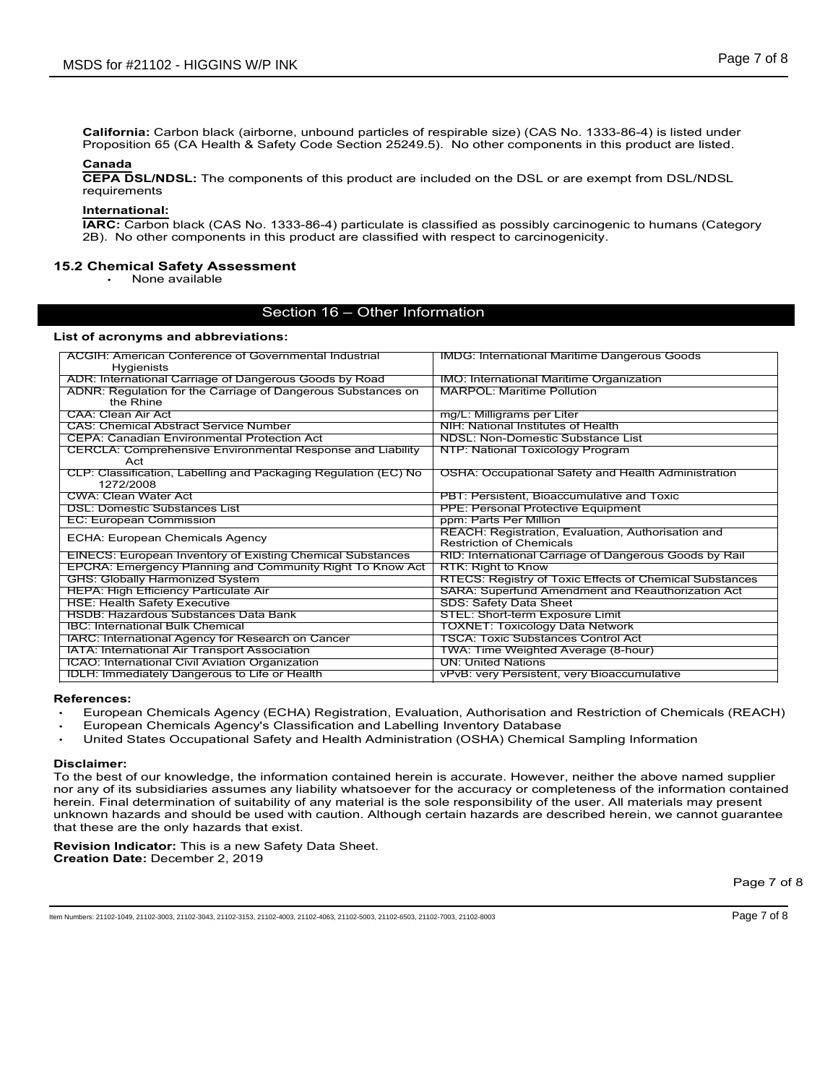DS for #21102 - HIGGINS W/P INK<br>
Page 7 of 8<br>
California: Carbon black (airborne, unbound particles of respirable size) (CAS No. 1333-86-4) is listed under<br>
Proposition 65 (CA Health & Safety Code Section 25249.5). No othe Page 7 of 8<br>
Page 7 of 8<br>
California: Carbon black (airborne, unbound particles of respirable size) (CAS No. 1333-86-4) is listed under<br>
Proposition 65 (CA Health & Safety Code Section 25249.5). No other components in this

# Canada

# International:

DS for #21102 - HIGGINS W/P INK<br>
Page 7 of 8<br>
California: Carbon black (sirborne, unbound particles of respirable size) (CAS No. 1333-86-4) is listed under<br>
Proposition 65 (CA Health & Safety Code Section 25249.5). No othe IARC: Carbon black (airborne, unbound particles of respirable size) (CAS No. 1333-86-4) is listed under<br>Proposition 65 (CA Health & Safety Code Section 25249.5). No other components in this product are listed.<br>CEPA DSL/ND 2B). To the mission black (airborne, unbound particles of respirable size) (CAS No. 1333-86-4) is listed under<br>
Proposition 65 (CA Health & Safety Code Section 25249.5). No other components in this product are listed.<br>
Can

# 15.2 Chemical Safety Assessment

| MSDS for #21102 - HIGGINS W/P INK                                                                                                                                                                                                                   |                                                                                         | Page 7 of 8 |
|-----------------------------------------------------------------------------------------------------------------------------------------------------------------------------------------------------------------------------------------------------|-----------------------------------------------------------------------------------------|-------------|
|                                                                                                                                                                                                                                                     |                                                                                         |             |
|                                                                                                                                                                                                                                                     |                                                                                         |             |
| California: Carbon black (airborne, unbound particles of respirable size) (CAS No. 1333-86-4) is listed under<br>Proposition 65 (CA Health & Safety Code Section 25249.5). No other components in this product are listed.                          |                                                                                         |             |
| Canada                                                                                                                                                                                                                                              |                                                                                         |             |
| <b>CEPA DSL/NDSL:</b> The components of this product are included on the DSL or are exempt from DSL/NDSL                                                                                                                                            |                                                                                         |             |
| requirements                                                                                                                                                                                                                                        |                                                                                         |             |
| International:<br>IARC: Carbon black (CAS No. 1333-86-4) particulate is classified as possibly carcinogenic to humans (Category                                                                                                                     |                                                                                         |             |
| 2B). No other components in this product are classified with respect to carcinogenicity.                                                                                                                                                            |                                                                                         |             |
| <b>15.2 Chemical Safety Assessment</b>                                                                                                                                                                                                              |                                                                                         |             |
| None available                                                                                                                                                                                                                                      |                                                                                         |             |
| Section 16 - Other Information                                                                                                                                                                                                                      |                                                                                         |             |
|                                                                                                                                                                                                                                                     |                                                                                         |             |
| List of acronyms and abbreviations:                                                                                                                                                                                                                 |                                                                                         |             |
| <b>ACGIH: American Conference of Governmental Industrial</b><br>Hygienists                                                                                                                                                                          | <b>IMDG: International Maritime Dangerous Goods</b>                                     |             |
| ADR: International Carriage of Dangerous Goods by Road<br>ADNR: Regulation for the Carriage of Dangerous Substances on                                                                                                                              | IMO: International Maritime Organization<br><b>MARPOL: Maritime Pollution</b>           |             |
| the Rhine<br><b>CAA: Clean Air Act</b>                                                                                                                                                                                                              | mg/L: Milligrams per Liter                                                              |             |
| <b>CAS: Chemical Abstract Service Number</b>                                                                                                                                                                                                        | NIH: National Institutes of Health                                                      |             |
| <b>CEPA: Canadian Environmental Protection Act</b><br><b>CERCLA: Comprehensive Environmental Response and Liability</b>                                                                                                                             | <b>NDSL: Non-Domestic Substance List</b><br>NTP: National Toxicology Program            |             |
| Act<br>CLP: Classification, Labelling and Packaging Regulation (EC) No                                                                                                                                                                              | <b>OSHA: Occupational Safety and Health Administration</b>                              |             |
| 1272/2008                                                                                                                                                                                                                                           |                                                                                         |             |
| <b>CWA: Clean Water Act</b><br><b>DSL: Domestic Substances List</b>                                                                                                                                                                                 | PBT: Persistent, Bioaccumulative and Toxic<br><b>PPE: Personal Protective Equipment</b> |             |
| <b>EC: European Commission</b>                                                                                                                                                                                                                      | ppm: Parts Per Million                                                                  |             |
| ECHA: European Chemicals Agency                                                                                                                                                                                                                     | REACH: Registration, Evaluation, Authorisation and<br><b>Restriction of Chemicals</b>   |             |
| <b>EINECS: European Inventory of Existing Chemical Substances</b><br>EPCRA: Emergency Planning and Community Right To Know Act                                                                                                                      | RID: International Carriage of Dangerous Goods by Rail<br>RTK: Right to Know            |             |
| <b>GHS: Globally Harmonized System</b>                                                                                                                                                                                                              | RTECS: Registry of Toxic Effects of Chemical Substances                                 |             |
| <b>HEPA: High Efficiency Particulate Air</b><br><b>HSE: Health Safety Executive</b>                                                                                                                                                                 | SARA: Superfund Amendment and Reauthorization Act<br><b>SDS: Safety Data Sheet</b>      |             |
| HSDB: Hazardous Substances Data Bank                                                                                                                                                                                                                | <b>STEL: Short-term Exposure Limit</b>                                                  |             |
| <b>IBC: International Bulk Chemical</b><br>IARC: International Agency for Research on Cancer                                                                                                                                                        | <b>TOXNET: Toxicology Data Network</b><br><b>TSCA: Toxic Substances Control Act</b>     |             |
| IATA: International Air Transport Association                                                                                                                                                                                                       | TWA: Time Weighted Average (8-hour)                                                     |             |
| ICAO: International Civil Aviation Organization<br><b>IDLH: Immediately Dangerous to Life or Health</b>                                                                                                                                             | <b>UN: United Nations</b><br>vPvB: very Persistent, very Bioaccumulative                |             |
|                                                                                                                                                                                                                                                     |                                                                                         |             |
| References:<br>European Chemicals Agency (ECHA) Registration, Evaluation, Authorisation and Restriction of Chemicals (REACH)                                                                                                                        |                                                                                         |             |
| European Chemicals Agency's Classification and Labelling Inventory Database                                                                                                                                                                         |                                                                                         |             |
| United States Occupational Safety and Health Administration (OSHA) Chemical Sampling Information                                                                                                                                                    |                                                                                         |             |
| Disclaimer:                                                                                                                                                                                                                                         |                                                                                         |             |
| To the best of our knowledge, the information contained herein is accurate. However, neither the above named supplier<br>nor any of its subsidiaries assumes any liability whatsoever for the accuracy or completeness of the information contained |                                                                                         |             |
| herein. Final determination of suitability of any material is the sole responsibility of the user. All materials may present                                                                                                                        |                                                                                         |             |
| unknown hazards and should be used with caution. Although certain hazards are described herein, we cannot guarantee<br>that these are the only hazards that exist.                                                                                  |                                                                                         |             |
| <b>Revision Indicator:</b> This is a new Safety Data Sheet.                                                                                                                                                                                         |                                                                                         |             |
| <b>Creation Date: December 2, 2019</b>                                                                                                                                                                                                              |                                                                                         |             |
|                                                                                                                                                                                                                                                     |                                                                                         | Page 7 of 8 |
|                                                                                                                                                                                                                                                     |                                                                                         |             |
| em Numbers: 21102-1049, 21102-3003, 21102-3043, 21102-3153, 21102-4003, 21102-4063, 21102-5003, 21102-6503, 21102-7003, 21102-8003                                                                                                                  |                                                                                         | Page 7 of 8 |

# References:

- 
- European Chemicals Agency's Classification and Labelling Inventory Database
- 

# Disclaimer: